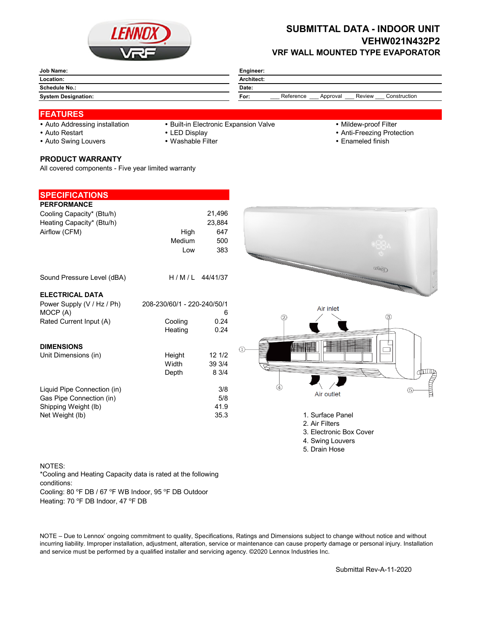

## **SUBMITTAL DATA - INDOOR UNIT VEHW021N432P2 VRF WALL MOUNTED TYPE EVAPORATOR**

| Job Name:                  | Engineer:                                               |
|----------------------------|---------------------------------------------------------|
| Location:                  | Architect:                                              |
| <b>Schedule No.:</b>       | Date:                                                   |
| <b>System Designation:</b> | Reference<br>Review<br>Construction<br>For:<br>Approval |

## **FEATURES**

- 
- Auto Addressing installation Built-in Electronic Expansion Valve Mildew-proof Filter
- 

- 
- Auto Restart **Auto Restart LED Display CED EXECUTE: 1999 Anti-Freezing Protection**
- Auto Swing Louvers Washable Filter **Enameled finish** Enameled finish
- **PRODUCT WARRANTY**

All covered components - Five year limited warranty

| <b>SPECIFICATIONS</b>       |                             |          |                                                                                                                                                                                                                                |
|-----------------------------|-----------------------------|----------|--------------------------------------------------------------------------------------------------------------------------------------------------------------------------------------------------------------------------------|
| <b>PERFORMANCE</b>          |                             |          |                                                                                                                                                                                                                                |
| Cooling Capacity* (Btu/h)   |                             | 21,496   |                                                                                                                                                                                                                                |
| Heating Capacity* (Btu/h)   |                             | 23,884   |                                                                                                                                                                                                                                |
| Airflow (CFM)               | High                        | 647      |                                                                                                                                                                                                                                |
|                             | Medium                      | 500      |                                                                                                                                                                                                                                |
|                             | Low                         | 383      |                                                                                                                                                                                                                                |
|                             |                             |          | 压高度                                                                                                                                                                                                                            |
| Sound Pressure Level (dBA)  | H/M/L                       | 44/41/37 |                                                                                                                                                                                                                                |
| <b>ELECTRICAL DATA</b>      |                             |          |                                                                                                                                                                                                                                |
| Power Supply (V / Hz / Ph)  | 208-230/60/1 - 220-240/50/1 |          | Air inlet                                                                                                                                                                                                                      |
| MOCP (A)                    |                             | 6        | $\circled{3}$                                                                                                                                                                                                                  |
| Rated Current Input (A)     | Cooling                     | 0.24     | 2                                                                                                                                                                                                                              |
|                             | Heating                     | 0.24     |                                                                                                                                                                                                                                |
|                             |                             |          |                                                                                                                                                                                                                                |
| <b>DIMENSIONS</b>           |                             | 121/2    | <b>HILLIAN</b>                                                                                                                                                                                                                 |
| Unit Dimensions (in)        | Height<br>Width             | 39 3/4   |                                                                                                                                                                                                                                |
|                             | Depth                       | 8 3/4    |                                                                                                                                                                                                                                |
|                             |                             |          | for the set of the set of the set of the set of the set of the set of the set of the set of the set of the set of the set of the set of the set of the set of the set of the set of the set of the set of the set of the set o |
| Liquid Pipe Connection (in) |                             | 3/8      |                                                                                                                                                                                                                                |
| Gas Pipe Connection (in)    |                             | 5/8      | Air outlet                                                                                                                                                                                                                     |
| Shipping Weight (lb)        |                             | 41.9     |                                                                                                                                                                                                                                |
| Net Weight (lb)             |                             | 35.3     | 1. Surface Panel                                                                                                                                                                                                               |
|                             |                             |          | 2. Air Filters                                                                                                                                                                                                                 |
|                             |                             |          | 3. Electronic Box Cover                                                                                                                                                                                                        |
|                             |                             |          | 4. Swing Louvers                                                                                                                                                                                                               |

5. Drain Hose

NOTES: Cooling: 80 °F DB / 67 °F WB Indoor, 95 °F DB Outdoor Heating: 70 °F DB Indoor, 47 °F DB \*Cooling and Heating Capacity data is rated at the following conditions:

NOTE – Due to Lennox' ongoing commitment to quality, Specifications, Ratings and Dimensions subject to change without notice and without incurring liability. Improper installation, adjustment, alteration, service or maintenance can cause property damage or personal injury. Installation and service must be performed by a qualified installer and servicing agency. ©2020 Lennox Industries Inc.